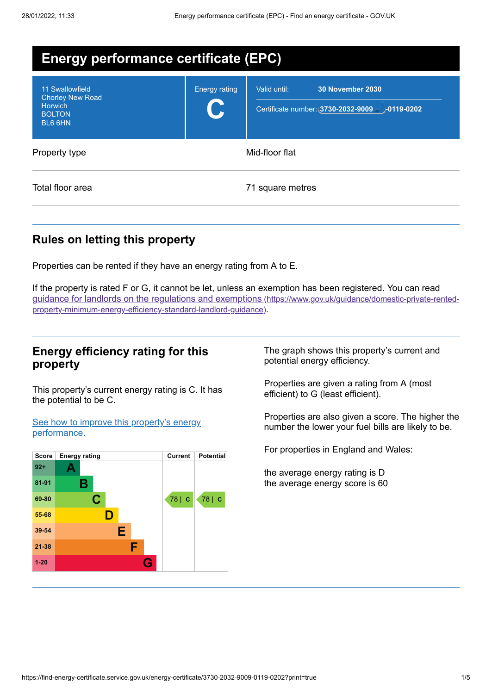| <b>Energy performance certificate (EPC)</b>                                              |                      |                                                                                              |  |  |
|------------------------------------------------------------------------------------------|----------------------|----------------------------------------------------------------------------------------------|--|--|
| 11 Swallowfield<br><b>Chorley New Road</b><br><b>Horwich</b><br><b>BOLTON</b><br>BL6 6HN | <b>Energy rating</b> | <b>30 November 2030</b><br>Valid until:<br>Certificate number: (3730-2032-9009 - )-0119-0202 |  |  |
| Property type                                                                            | Mid-floor flat       |                                                                                              |  |  |
| Total floor area                                                                         |                      | 71 square metres                                                                             |  |  |

# **Rules on letting this property**

Properties can be rented if they have an energy rating from A to E.

If the property is rated F or G, it cannot be let, unless an exemption has been registered. You can read guidance for landlords on the regulations and exemptions (https://www.gov.uk/guidance/domestic-private-rented[property-minimum-energy-efficiency-standard-landlord-guidance\)](https://www.gov.uk/guidance/domestic-private-rented-property-minimum-energy-efficiency-standard-landlord-guidance).

# **Energy efficiency rating for this property**

This property's current energy rating is C. It has the potential to be C.

See how to improve this property's energy [performance.](#page-2-0)



The graph shows this property's current and potential energy efficiency.

Properties are given a rating from A (most efficient) to G (least efficient).

Properties are also given a score. The higher the number the lower your fuel bills are likely to be.

For properties in England and Wales:

the average energy rating is D the average energy score is 60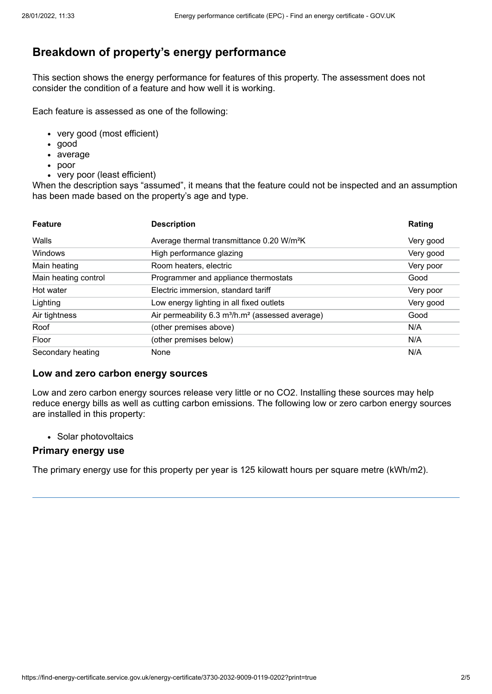# **Breakdown of property's energy performance**

This section shows the energy performance for features of this property. The assessment does not consider the condition of a feature and how well it is working.

Each feature is assessed as one of the following:

- very good (most efficient)
- good
- average
- poor
- very poor (least efficient)

When the description says "assumed", it means that the feature could not be inspected and an assumption has been made based on the property's age and type.

| <b>Feature</b>       | <b>Description</b>                                                       | Rating    |
|----------------------|--------------------------------------------------------------------------|-----------|
| Walls                | Average thermal transmittance 0.20 W/m <sup>2</sup> K                    | Very good |
| Windows              | High performance glazing                                                 | Very good |
| Main heating         | Room heaters, electric                                                   | Very poor |
| Main heating control | Programmer and appliance thermostats                                     | Good      |
| Hot water            | Electric immersion, standard tariff                                      | Very poor |
| Lighting             | Low energy lighting in all fixed outlets                                 | Very good |
| Air tightness        | Air permeability 6.3 m <sup>3</sup> /h.m <sup>2</sup> (assessed average) | Good      |
| Roof                 | (other premises above)                                                   | N/A       |
| Floor                | (other premises below)                                                   | N/A       |
| Secondary heating    | None                                                                     | N/A       |

#### **Low and zero carbon energy sources**

Low and zero carbon energy sources release very little or no CO2. Installing these sources may help reduce energy bills as well as cutting carbon emissions. The following low or zero carbon energy sources are installed in this property:

• Solar photovoltaics

## **Primary energy use**

The primary energy use for this property per year is 125 kilowatt hours per square metre (kWh/m2).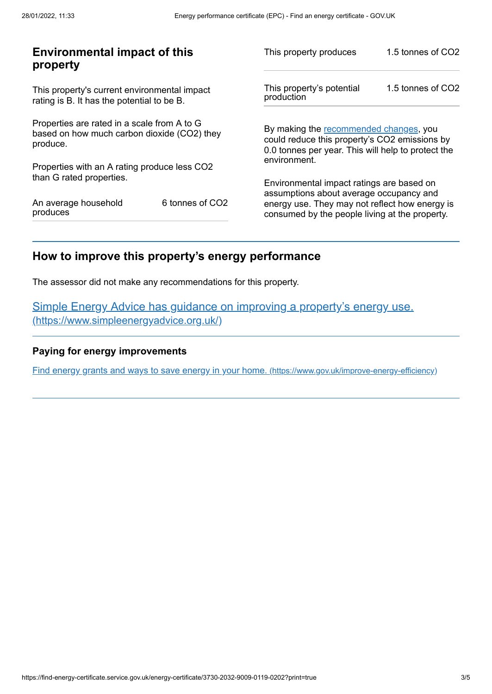| <b>Environmental impact of this</b><br>property                                                        |                 | This property produces                                                                                                                                        | 1.5 tonnes of CO2 |
|--------------------------------------------------------------------------------------------------------|-----------------|---------------------------------------------------------------------------------------------------------------------------------------------------------------|-------------------|
| This property's current environmental impact<br>rating is B. It has the potential to be B.             |                 | This property's potential<br>production                                                                                                                       | 1.5 tonnes of CO2 |
| Properties are rated in a scale from A to G<br>based on how much carbon dioxide (CO2) they<br>produce. |                 | By making the recommended changes, you<br>could reduce this property's CO2 emissions by<br>0.0 tonnes per year. This will help to protect the<br>environment. |                   |
| Properties with an A rating produce less CO2                                                           |                 |                                                                                                                                                               |                   |
| than G rated properties.                                                                               |                 | Environmental impact ratings are based on                                                                                                                     |                   |
| An average household<br>produces                                                                       | 6 tonnes of CO2 | assumptions about average occupancy and<br>energy use. They may not reflect how energy is<br>consumed by the people living at the property.                   |                   |

# <span id="page-2-0"></span>**How to improve this property's energy performance**

The assessor did not make any recommendations for this property.

Simple Energy Advice has guidance on improving a property's energy use. [\(https://www.simpleenergyadvice.org.uk/\)](https://www.simpleenergyadvice.org.uk/)

## **Paying for energy improvements**

Find energy grants and ways to save energy in your home. [\(https://www.gov.uk/improve-energy-efficiency\)](https://www.gov.uk/improve-energy-efficiency)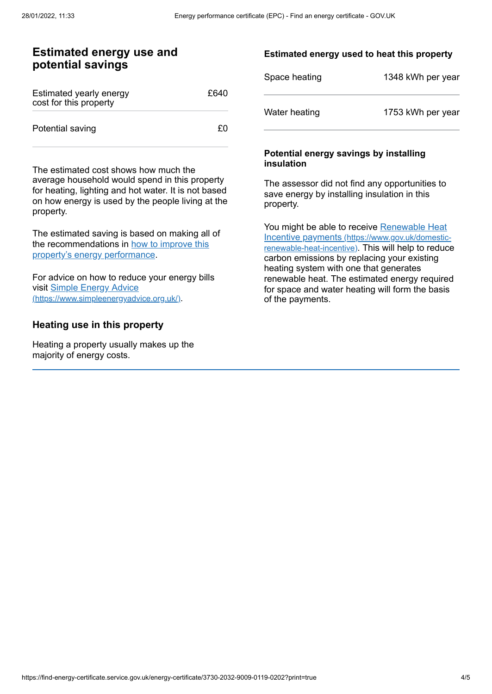# **Estimated energy use and potential savings**

| Estimated yearly energy<br>cost for this property | £640 |
|---------------------------------------------------|------|
| Potential saving                                  | £0.  |

The estimated cost shows how much the average household would spend in this property for heating, lighting and hot water. It is not based on how energy is used by the people living at the property.

The estimated saving is based on making all of the [recommendations](#page-2-0) in how to improve this property's energy performance.

For advice on how to reduce your energy bills visit Simple Energy Advice [\(https://www.simpleenergyadvice.org.uk/\)](https://www.simpleenergyadvice.org.uk/).

## **Heating use in this property**

Heating a property usually makes up the majority of energy costs.

## **Estimated energy used to heat this property**

| Space heating | 1348 kWh per year |
|---------------|-------------------|
| Water heating | 1753 kWh per year |

#### **Potential energy savings by installing insulation**

The assessor did not find any opportunities to save energy by installing insulation in this property.

You might be able to receive Renewable Heat Incentive payments [\(https://www.gov.uk/domestic](https://www.gov.uk/domestic-renewable-heat-incentive)renewable-heat-incentive). This will help to reduce carbon emissions by replacing your existing heating system with one that generates renewable heat. The estimated energy required for space and water heating will form the basis of the payments.